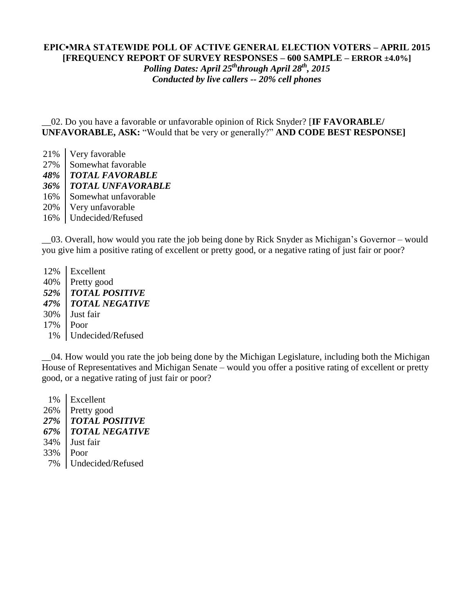#### **EPIC▪MRA STATEWIDE POLL OF ACTIVE GENERAL ELECTION VOTERS – APRIL 2015 [FREQUENCY REPORT OF SURVEY RESPONSES – 600 SAMPLE – ERROR ±4.0%]**

*Polling Dates: April 25ththrough April 28th , 2015 Conducted by live callers -- 20% cell phones*

\_\_02. Do you have a favorable or unfavorable opinion of Rick Snyder? [**IF FAVORABLE/ UNFAVORABLE, ASK:** "Would that be very or generally?" **AND CODE BEST RESPONSE]**

21% Very favorable 27% Somewhat favorable *48% TOTAL FAVORABLE 36% TOTAL UNFAVORABLE* 16% Somewhat unfavorable 20% Very unfavorable 16% Undecided/Refused

\_\_03. Overall, how would you rate the job being done by Rick Snyder as Michigan's Governor – would you give him a positive rating of excellent or pretty good, or a negative rating of just fair or poor?

12% Excellent 40% Pretty good *52% TOTAL POSITIVE 47% TOTAL NEGATIVE* 30% Just fair 17% Poor 1% Undecided/Refused

\_\_04. How would you rate the job being done by the Michigan Legislature, including both the Michigan House of Representatives and Michigan Senate – would you offer a positive rating of excellent or pretty good, or a negative rating of just fair or poor?

 1% Excellent 26% Pretty good *27% TOTAL POSITIVE 67% TOTAL NEGATIVE* 34% Just fair 33% Poor 7% Undecided/Refused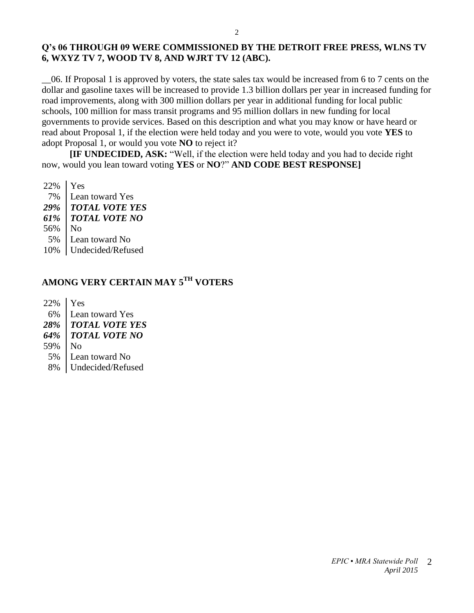#### **Q's 06 THROUGH 09 WERE COMMISSIONED BY THE DETROIT FREE PRESS, WLNS TV 6, WXYZ TV 7, WOOD TV 8, AND WJRT TV 12 (ABC).**

\_\_06. If Proposal 1 is approved by voters, the state sales tax would be increased from 6 to 7 cents on the dollar and gasoline taxes will be increased to provide 1.3 billion dollars per year in increased funding for road improvements, along with 300 million dollars per year in additional funding for local public schools, 100 million for mass transit programs and 95 million dollars in new funding for local governments to provide services. Based on this description and what you may know or have heard or read about Proposal 1, if the election were held today and you were to vote, would you vote **YES** to adopt Proposal 1, or would you vote **NO** to reject it?

**[IF UNDECIDED, ASK:** "Well, if the election were held today and you had to decide right now, would you lean toward voting **YES** or **NO**?" **AND CODE BEST RESPONSE]**

22% Yes 7% Lean toward Yes *29% TOTAL VOTE YES 61% TOTAL VOTE NO* 56% No 5% Lean toward No 10% Undecided/Refused

# **AMONG VERY CERTAIN MAY 5TH VOTERS**

22% Yes 6% Lean toward Yes *28% TOTAL VOTE YES 64% TOTAL VOTE NO* 59% No 5% Lean toward No 8% Undecided/Refused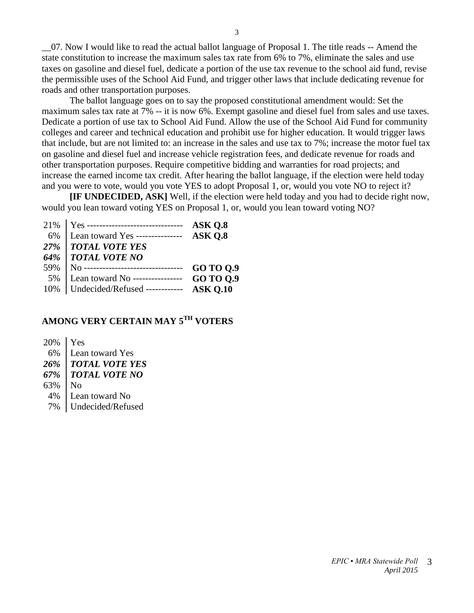\_\_07. Now I would like to read the actual ballot language of Proposal 1. The title reads -- Amend the state constitution to increase the maximum sales tax rate from 6% to 7%, eliminate the sales and use taxes on gasoline and diesel fuel, dedicate a portion of the use tax revenue to the school aid fund, revise the permissible uses of the School Aid Fund, and trigger other laws that include dedicating revenue for roads and other transportation purposes.

The ballot language goes on to say the proposed constitutional amendment would: Set the maximum sales tax rate at 7% -- it is now 6%. Exempt gasoline and diesel fuel from sales and use taxes. Dedicate a portion of use tax to School Aid Fund. Allow the use of the School Aid Fund for community colleges and career and technical education and prohibit use for higher education. It would trigger laws that include, but are not limited to: an increase in the sales and use tax to 7%; increase the motor fuel tax on gasoline and diesel fuel and increase vehicle registration fees, and dedicate revenue for roads and other transportation purposes. Require competitive bidding and warranties for road projects; and increase the earned income tax credit. After hearing the ballot language, if the election were held today and you were to vote, would you vote YES to adopt Proposal 1, or, would you vote NO to reject it?

**[IF UNDECIDED, ASK]** Well, if the election were held today and you had to decide right now, would you lean toward voting YES on Proposal 1, or, would you lean toward voting NO?

|     | 21%   Yes --------------------------------             | ASK Q.8          |
|-----|--------------------------------------------------------|------------------|
| 6%  | Lean toward Yes ---------------                        | ASK O.8          |
|     | 27%   TOTAL VOTE YES                                   |                  |
|     | 64%   TOTAL VOTE NO                                    |                  |
| 59% | $\overline{\rm N}_0$ --------------------------------- | GO TO 0.9        |
| 5%  | Lean toward No ----------------                        | <b>GO TO 0.9</b> |
|     | 10%   Undecided/Refused ------------ ASK Q.10          |                  |

# **AMONG VERY CERTAIN MAY 5TH VOTERS**

20% Yes 6% Lean toward Yes *26% TOTAL VOTE YES 67% TOTAL VOTE NO* 63% No 4% Lean toward No 7% Undecided/Refused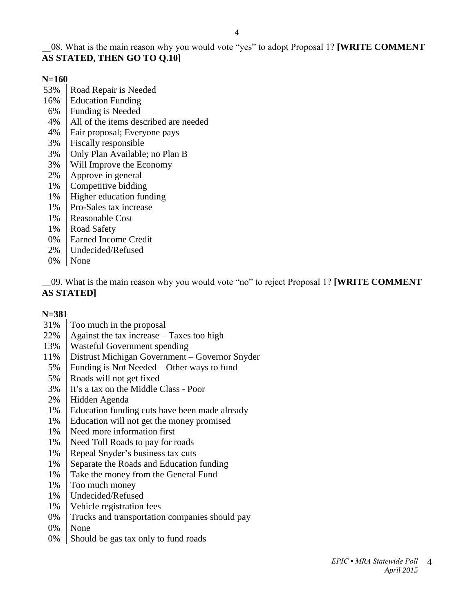# \_\_08. What is the main reason why you would vote "yes" to adopt Proposal 1? **[WRITE COMMENT AS STATED, THEN GO TO Q.10]**

#### **N=160**

- 53% | Road Repair is Needed
- 16% Education Funding
- 6% Funding is Needed
- 4% All of the items described are needed
- 4% Fair proposal; Everyone pays
- 3% Fiscally responsible
- 3% Only Plan Available; no Plan B
- 3% Will Improve the Economy
- 2% Approve in general
- 1% Competitive bidding
- 1% Higher education funding
- 1% Pro-Sales tax increase
- 1% Reasonable Cost
- 1% Road Safety
- 0% | Earned Income Credit
- 2% Undecided/Refused
- 0% None

\_\_09. What is the main reason why you would vote "no" to reject Proposal 1? **[WRITE COMMENT AS STATED]**

### **N=381**

- 31% Too much in the proposal
- 22%  $\vert$  Against the tax increase Taxes too high
- 13% Wasteful Government spending
- 11% Distrust Michigan Government Governor Snyder
- 5% Funding is Not Needed Other ways to fund
- 5% Roads will not get fixed
- 3% It's a tax on the Middle Class Poor
- 2% Hidden Agenda
- 1% Education funding cuts have been made already
- 1% Education will not get the money promised
- 1% Need more information first
- 1% Need Toll Roads to pay for roads
- 1% Repeal Snyder's business tax cuts
- 1% Separate the Roads and Education funding
- 1% Take the money from the General Fund
- 1% Too much money
- 1% Undecided/Refused
- 1% Vehicle registration fees
- 0% Trucks and transportation companies should pay
- 0% None
- $0\%$  Should be gas tax only to fund roads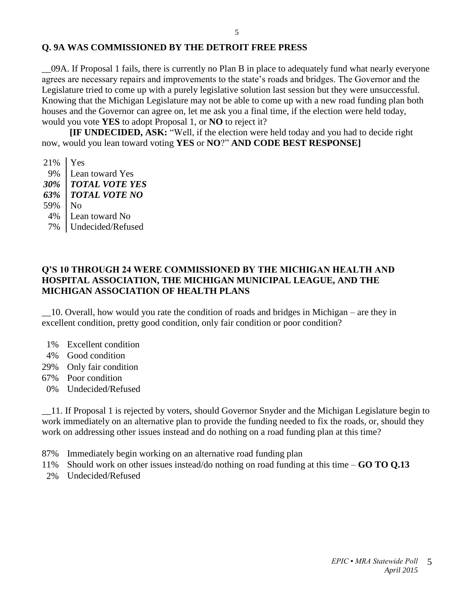### **Q. 9A WAS COMMISSIONED BY THE DETROIT FREE PRESS**

\_\_09A. If Proposal 1 fails, there is currently no Plan B in place to adequately fund what nearly everyone agrees are necessary repairs and improvements to the state's roads and bridges. The Governor and the Legislature tried to come up with a purely legislative solution last session but they were unsuccessful. Knowing that the Michigan Legislature may not be able to come up with a new road funding plan both houses and the Governor can agree on, let me ask you a final time, if the election were held today, would you vote **YES** to adopt Proposal 1, or **NO** to reject it?

**[IF UNDECIDED, ASK:** "Well, if the election were held today and you had to decide right now, would you lean toward voting **YES** or **NO**?" **AND CODE BEST RESPONSE]**

21% Yes 9% Lean toward Yes *30% TOTAL VOTE YES 63% TOTAL VOTE NO* 59% No 4% Lean toward No 7% Undecided/Refused

#### **Q'S 10 THROUGH 24 WERE COMMISSIONED BY THE MICHIGAN HEALTH AND HOSPITAL ASSOCIATION, THE MICHIGAN MUNICIPAL LEAGUE, AND THE MICHIGAN ASSOCIATION OF HEALTH PLANS**

\_\_10. Overall, how would you rate the condition of roads and bridges in Michigan – are they in excellent condition, pretty good condition, only fair condition or poor condition?

- 1% Excellent condition
- 4% Good condition
- 29% Only fair condition
- 67% Poor condition
- 0% Undecided/Refused

\_\_11. If Proposal 1 is rejected by voters, should Governor Snyder and the Michigan Legislature begin to work immediately on an alternative plan to provide the funding needed to fix the roads, or, should they work on addressing other issues instead and do nothing on a road funding plan at this time?

- 87% Immediately begin working on an alternative road funding plan
- 11% Should work on other issues instead/do nothing on road funding at this time **GO TO Q.13**
- 2% Undecided/Refused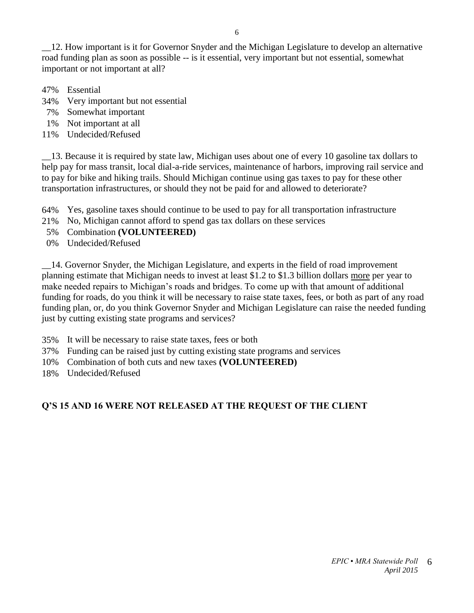\_\_12. How important is it for Governor Snyder and the Michigan Legislature to develop an alternative road funding plan as soon as possible -- is it essential, very important but not essential, somewhat important or not important at all?

- 47% Essential
- 34% Very important but not essential
- 7% Somewhat important
- 1% Not important at all
- 11% Undecided/Refused

\_\_13. Because it is required by state law, Michigan uses about one of every 10 gasoline tax dollars to help pay for mass transit, local dial-a-ride services, maintenance of harbors, improving rail service and to pay for bike and hiking trails. Should Michigan continue using gas taxes to pay for these other transportation infrastructures, or should they not be paid for and allowed to deteriorate?

64% Yes, gasoline taxes should continue to be used to pay for all transportation infrastructure

- 21% No, Michigan cannot afford to spend gas tax dollars on these services
- 5% Combination **(VOLUNTEERED)**
- 0% Undecided/Refused

\_\_14. Governor Snyder, the Michigan Legislature, and experts in the field of road improvement planning estimate that Michigan needs to invest at least \$1.2 to \$1.3 billion dollars more per year to make needed repairs to Michigan's roads and bridges. To come up with that amount of additional funding for roads, do you think it will be necessary to raise state taxes, fees, or both as part of any road funding plan, or, do you think Governor Snyder and Michigan Legislature can raise the needed funding just by cutting existing state programs and services?

- 35% It will be necessary to raise state taxes, fees or both
- 37% Funding can be raised just by cutting existing state programs and services
- 10% Combination of both cuts and new taxes **(VOLUNTEERED)**
- 18% Undecided/Refused

### **Q'S 15 AND 16 WERE NOT RELEASED AT THE REQUEST OF THE CLIENT**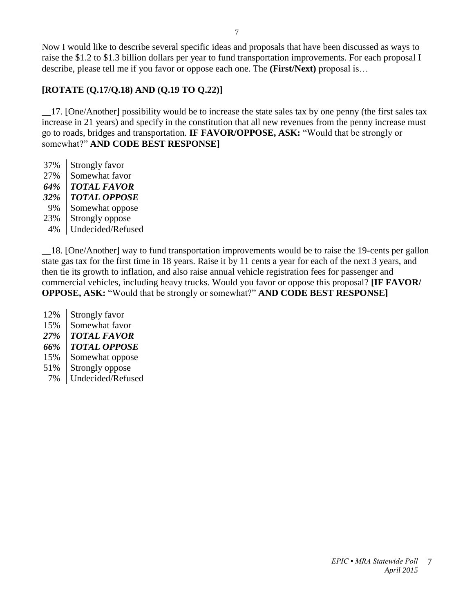Now I would like to describe several specific ideas and proposals that have been discussed as ways to raise the \$1.2 to \$1.3 billion dollars per year to fund transportation improvements. For each proposal I describe, please tell me if you favor or oppose each one. The **(First/Next)** proposal is…

# **[ROTATE (Q.17/Q.18) AND (Q.19 TO Q.22)]**

\_\_17. [One/Another] possibility would be to increase the state sales tax by one penny (the first sales tax increase in 21 years) and specify in the constitution that all new revenues from the penny increase must go to roads, bridges and transportation. **IF FAVOR/OPPOSE, ASK:** "Would that be strongly or somewhat?" **AND CODE BEST RESPONSE]**

37% | Strongly favor 27% Somewhat favor *64% TOTAL FAVOR 32% TOTAL OPPOSE* 9% Somewhat oppose 23% | Strongly oppose 4% Undecided/Refused

\_\_18. [One/Another] way to fund transportation improvements would be to raise the 19-cents per gallon state gas tax for the first time in 18 years. Raise it by 11 cents a year for each of the next 3 years, and then tie its growth to inflation, and also raise annual vehicle registration fees for passenger and commercial vehicles, including heavy trucks. Would you favor or oppose this proposal? **[IF FAVOR/ OPPOSE, ASK:** "Would that be strongly or somewhat?" **AND CODE BEST RESPONSE]**

12% Strongly favor 15% Somewhat favor *27% TOTAL FAVOR 66% TOTAL OPPOSE* 15% Somewhat oppose 51% Strongly oppose 7% Undecided/Refused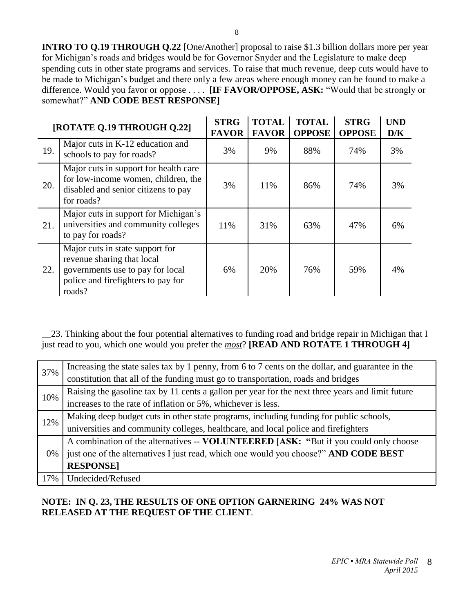**INTRO TO Q.19 THROUGH Q.22** [One/Another] proposal to raise \$1.3 billion dollars more per year for Michigan's roads and bridges would be for Governor Snyder and the Legislature to make deep spending cuts in other state programs and services. To raise that much revenue, deep cuts would have to be made to Michigan's budget and there only a few areas where enough money can be found to make a difference. Would you favor or oppose . . . . **[IF FAVOR/OPPOSE, ASK:** "Would that be strongly or somewhat?" **AND CODE BEST RESPONSE]**

| [ROTATE Q.19 THROUGH Q.22] |                                                                                                                                                   | <b>STRG</b><br><b>FAVOR</b> | <b>TOTAL</b><br><b>FAVOR</b> | <b>TOTAL</b><br><b>OPPOSE</b> | <b>STRG</b><br><b>OPPOSE</b> | <b>UND</b><br>D/K |
|----------------------------|---------------------------------------------------------------------------------------------------------------------------------------------------|-----------------------------|------------------------------|-------------------------------|------------------------------|-------------------|
| 19.                        | Major cuts in K-12 education and<br>schools to pay for roads?                                                                                     | 3%                          | 9%                           | 88%                           | 74%                          | 3%                |
| 20.                        | Major cuts in support for health care<br>for low-income women, children, the<br>disabled and senior citizens to pay<br>for roads?                 | 3%                          | 11%                          | 86%                           | 74%                          | 3%                |
| 21.                        | Major cuts in support for Michigan's<br>universities and community colleges<br>to pay for roads?                                                  | 11%                         | 31%                          | 63%                           | 47%                          | 6%                |
| 22.                        | Major cuts in state support for<br>revenue sharing that local<br>governments use to pay for local<br>police and firefighters to pay for<br>roads? | 6%                          | 20%                          | 76%                           | 59%                          | 4%                |

\_\_23. Thinking about the four potential alternatives to funding road and bridge repair in Michigan that I just read to you, which one would you prefer the *most*? **[READ AND ROTATE 1 THROUGH 4]**

| 37% | Increasing the state sales tax by 1 penny, from 6 to 7 cents on the dollar, and guarantee in the |
|-----|--------------------------------------------------------------------------------------------------|
|     | constitution that all of the funding must go to transportation, roads and bridges                |
| 10% | Raising the gasoline tax by 11 cents a gallon per year for the next three years and limit future |
|     | increases to the rate of inflation or 5%, whichever is less.                                     |
| 12% | Making deep budget cuts in other state programs, including funding for public schools,           |
|     | universities and community colleges, healthcare, and local police and firefighters               |
| 0%  | A combination of the alternatives -- VOLUNTEERED [ASK: "But if you could only choose             |
|     | just one of the alternatives I just read, which one would you choose?" AND CODE BEST             |
|     | <b>RESPONSE1</b>                                                                                 |
| 17% | Undecided/Refused                                                                                |

## **NOTE: IN Q. 23, THE RESULTS OF ONE OPTION GARNERING 24% WAS NOT RELEASED AT THE REQUEST OF THE CLIENT**.